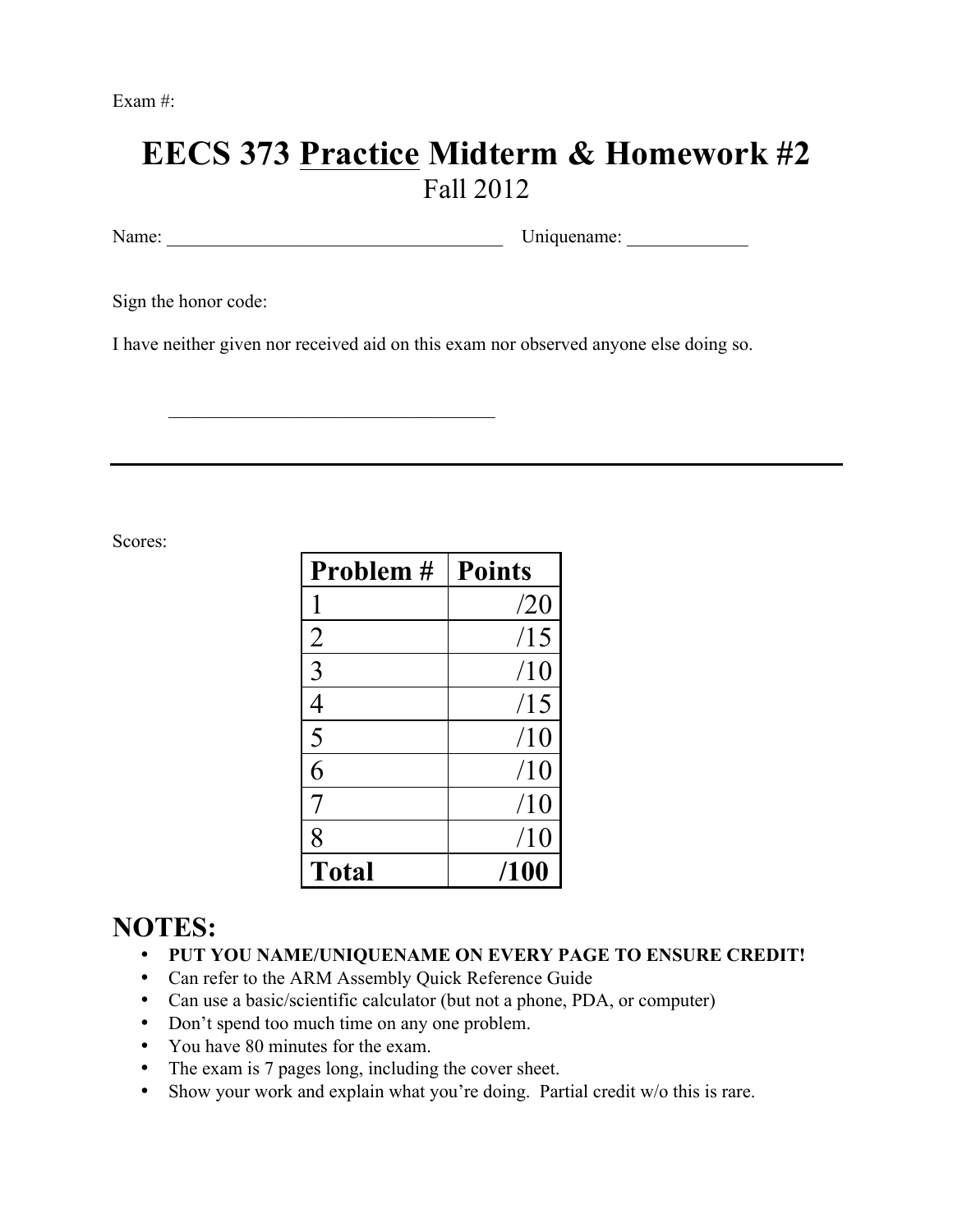Exam #:

## **EECS 373 Practice Midterm & Homework #2** Fall 2012

Name: Uniquename:

Sign the honor code:

I have neither given nor received aid on this exam nor observed anyone else doing so.

 $\mathcal{L}_\text{max}$  , and the set of the set of the set of the set of the set of the set of the set of the set of the set of the set of the set of the set of the set of the set of the set of the set of the set of the set of the

Scores:

| Problem #      | <b>Points</b> |
|----------------|---------------|
|                | /20           |
| $\overline{2}$ | /15           |
| 3              | /10           |
| 4              | /15           |
| 5              | /10           |
| $\overline{6}$ | /10           |
| 7              | /10           |
| 8              | /10           |
| <b>Total</b>   | /100          |

## **NOTES:**

- **PUT YOU NAME/UNIQUENAME ON EVERY PAGE TO ENSURE CREDIT!**
- Can refer to the ARM Assembly Quick Reference Guide
- Can use a basic/scientific calculator (but not a phone, PDA, or computer)
- Don't spend too much time on any one problem.
- You have 80 minutes for the exam.
- The exam is 7 pages long, including the cover sheet.
- Show your work and explain what you're doing. Partial credit w/o this is rare.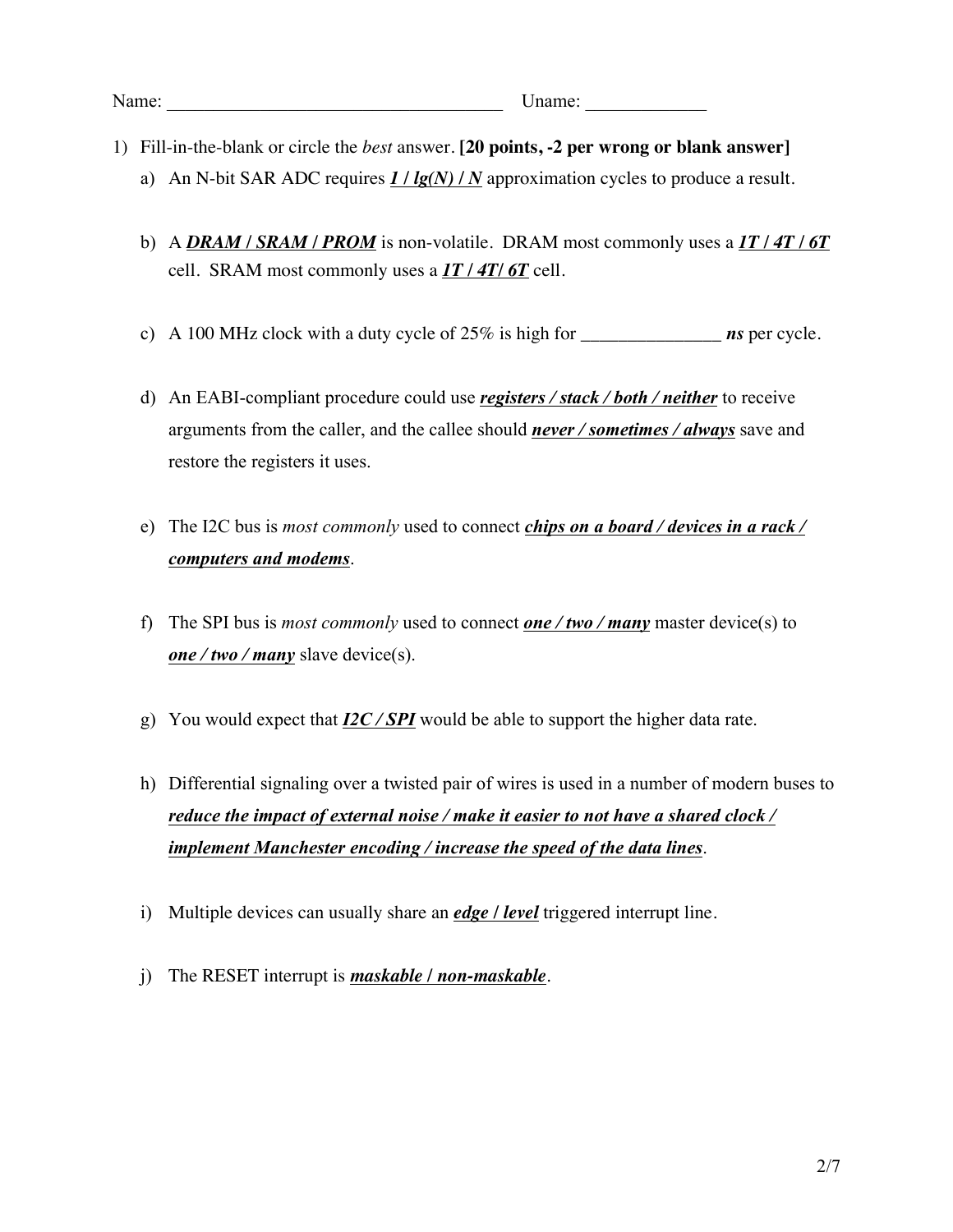- 1) Fill-in-the-blank or circle the *best* answer. **[20 points, -2 per wrong or blank answer]**
	- a) An N-bit SAR ADC requires *1 / lg(N) / N* approximation cycles to produce a result.
	- b) A *DRAM / SRAM / PROM* is non-volatile. DRAM most commonly uses a *1T / 4T / 6T* cell. SRAM most commonly uses a *1T / 4T/ 6T* cell.
	- c) A 100 MHz clock with a duty cycle of 25% is high for \_\_\_\_\_\_\_\_\_\_\_\_\_\_\_ *ns* per cycle.
	- d) An EABI-compliant procedure could use *registers / stack / both / neither* to receive arguments from the caller, and the callee should *never / sometimes / always* save and restore the registers it uses.
	- e) The I2C bus is *most commonly* used to connect *chips on a board / devices in a rack / computers and modems*.
	- f) The SPI bus is *most commonly* used to connect *one / two / many* master device(s) to *one / two / many* slave device(s).
	- g) You would expect that *I2C / SPI* would be able to support the higher data rate.
	- h) Differential signaling over a twisted pair of wires is used in a number of modern buses to *reduce the impact of external noise / make it easier to not have a shared clock / implement Manchester encoding / increase the speed of the data lines*.
	- i) Multiple devices can usually share an *edge / level* triggered interrupt line.
	- j) The RESET interrupt is *maskable / non-maskable*.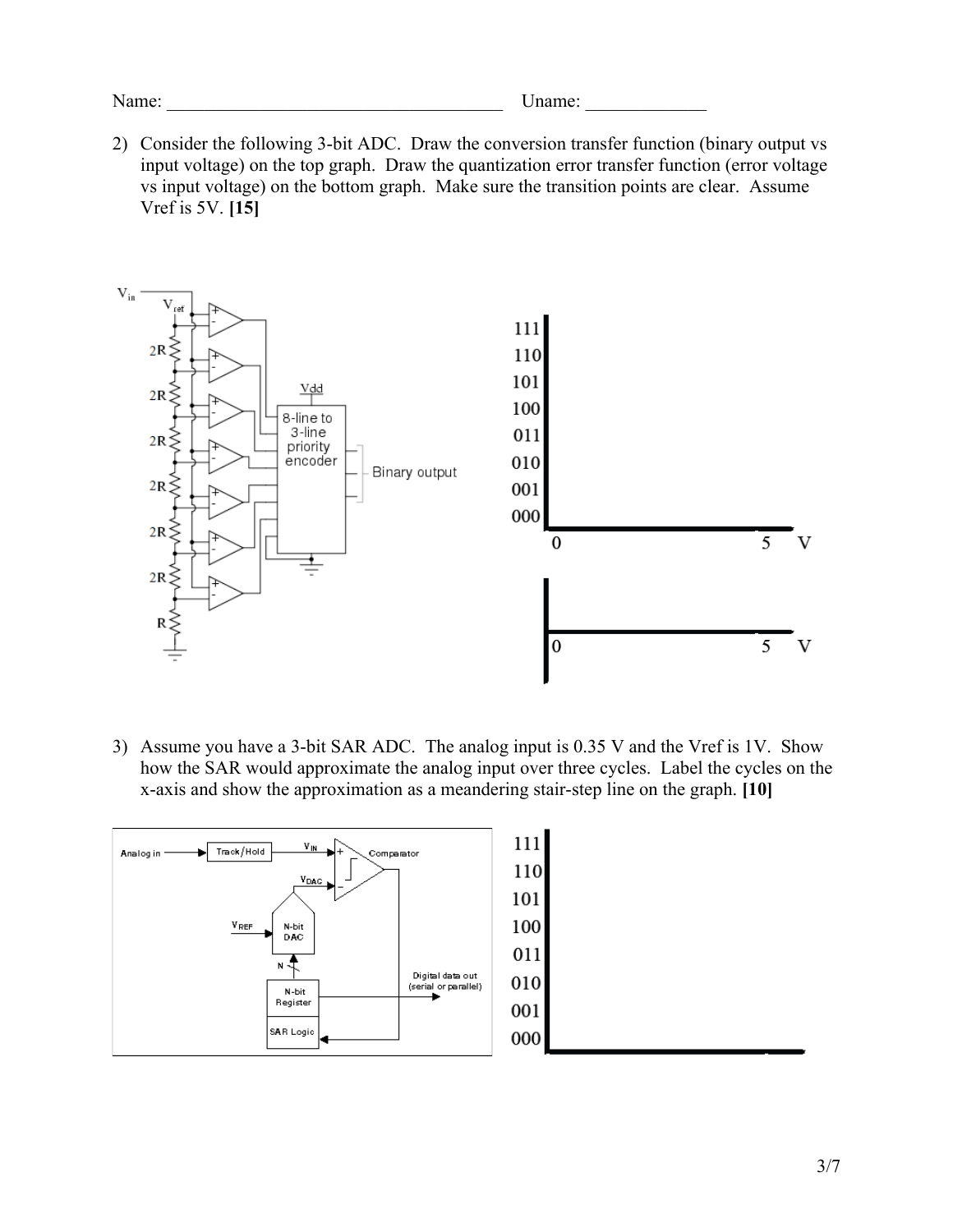Name: Uname: Uname:

2) Consider the following 3-bit ADC. Draw the conversion transfer function (binary output vs input voltage) on the top graph. Draw the quantization error transfer function (error voltage vs input voltage) on the bottom graph. Make sure the transition points are clear. Assume Vref is 5V. **[15]**



3) Assume you have a 3-bit SAR ADC. The analog input is 0.35 V and the Vref is 1V. Show how the SAR would approximate the analog input over three cycles. Label the cycles on the x-axis and show the approximation as a meandering stair-step line on the graph. **[10]**

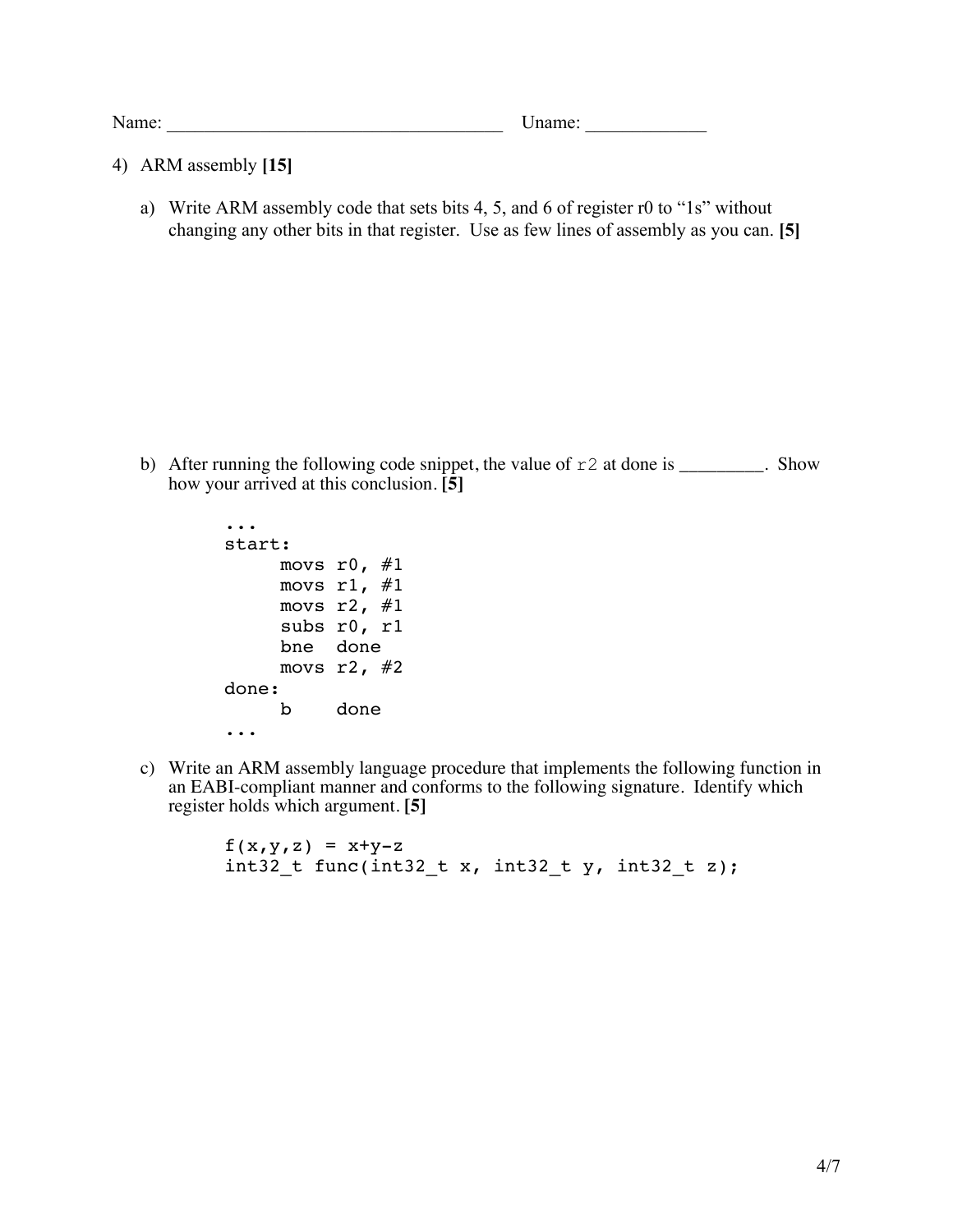Name: Uname:  $\blacksquare$ 

- 4) ARM assembly **[15]**
	- a) Write ARM assembly code that sets bits 4, 5, and 6 of register r0 to "1s" without changing any other bits in that register. Use as few lines of assembly as you can. **[5]**

b) After running the following code snippet, the value of  $r2$  at done is \_\_\_\_\_\_\_\_. Show how your arrived at this conclusion. **[5]**

```
...
start:
    movs r0, #1movs r1, #1movs r2, #1subs r0, r1
    bne done
    movs r2, #2done:
    b done
...
```
c) Write an ARM assembly language procedure that implements the following function in an EABI-compliant manner and conforms to the following signature. Identify which register holds which argument. **[5]**

```
f(x,y,z) = x+y-zint32 t func(int32 t x, int32 t y, int32 t z);
```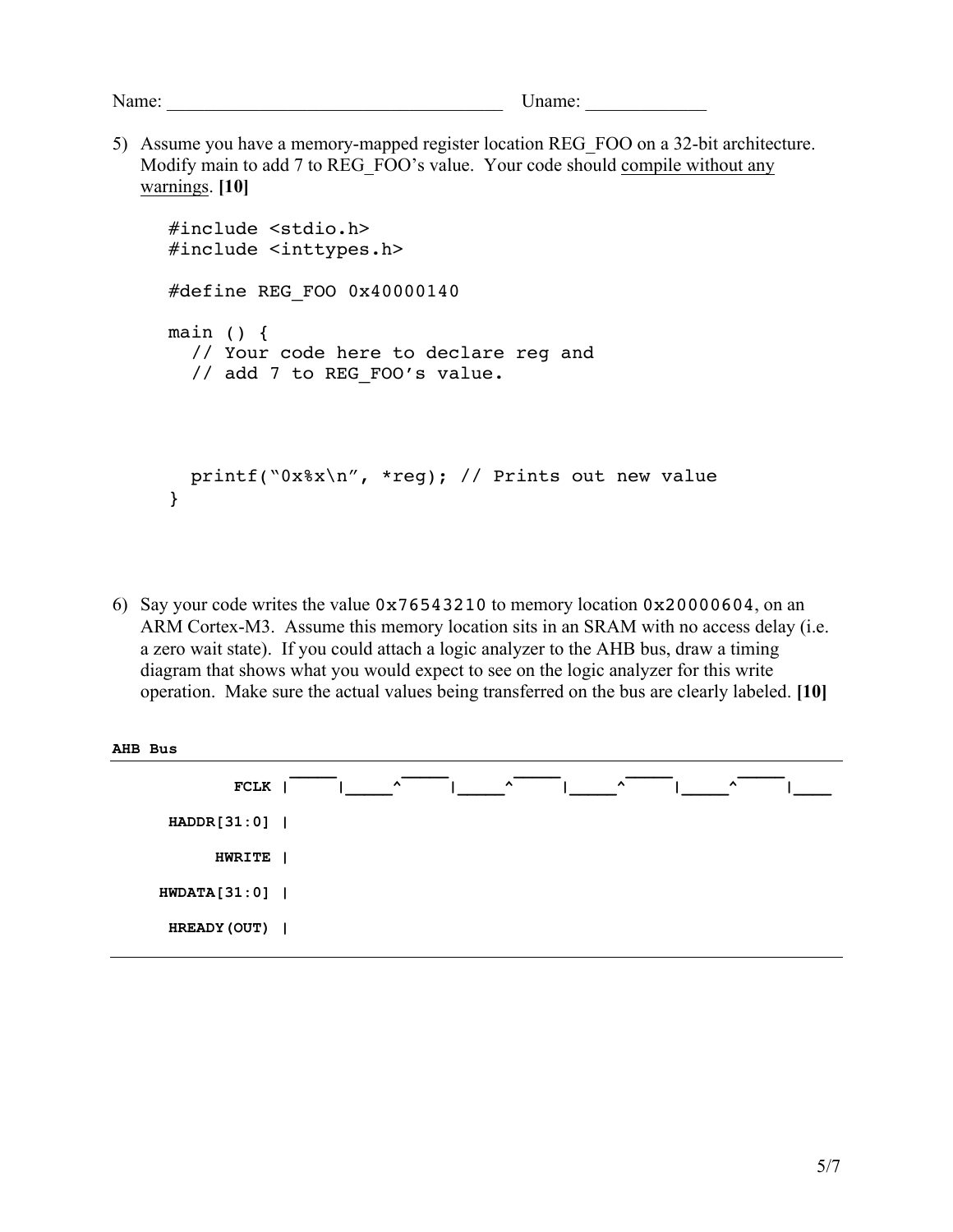Name: \_\_\_\_\_\_\_\_\_\_\_\_\_\_\_\_\_\_\_\_\_\_\_\_\_\_\_\_\_\_\_\_\_\_\_\_ Uname: \_\_\_\_\_\_\_\_\_\_\_\_\_

5) Assume you have a memory-mapped register location REG\_FOO on a 32-bit architecture. Modify main to add 7 to REG\_FOO's value. Your code should compile without any warnings. **[10]**

```
#include <stdio.h>
#include <inttypes.h>
#define REG_FOO 0x40000140
main () {
   // Your code here to declare reg and 
  // add 7 to REG FOO's value.
  printf("0x%x\n", *reg); // Prints out new value
}
```
6) Say your code writes the value 0x76543210 to memory location 0x20000604, on an ARM Cortex-M3. Assume this memory location sits in an SRAM with no access delay (i.e. a zero wait state). If you could attach a logic analyzer to the AHB bus, draw a timing diagram that shows what you would expect to see on the logic analyzer for this write operation. Make sure the actual values being transferred on the bus are clearly labeled. **[10]**

| AHB Bus      |                                                                      |
|--------------|----------------------------------------------------------------------|
| FCLK         | $\hat{ }$<br>$\hat{\phantom{a}}$<br>$\lambda$<br>$\hat{\phantom{a}}$ |
| HADDR[31:0]  |                                                                      |
| HWRITE       |                                                                      |
| HWDATA[31:0] |                                                                      |
| HREADY (OUT) |                                                                      |
|              |                                                                      |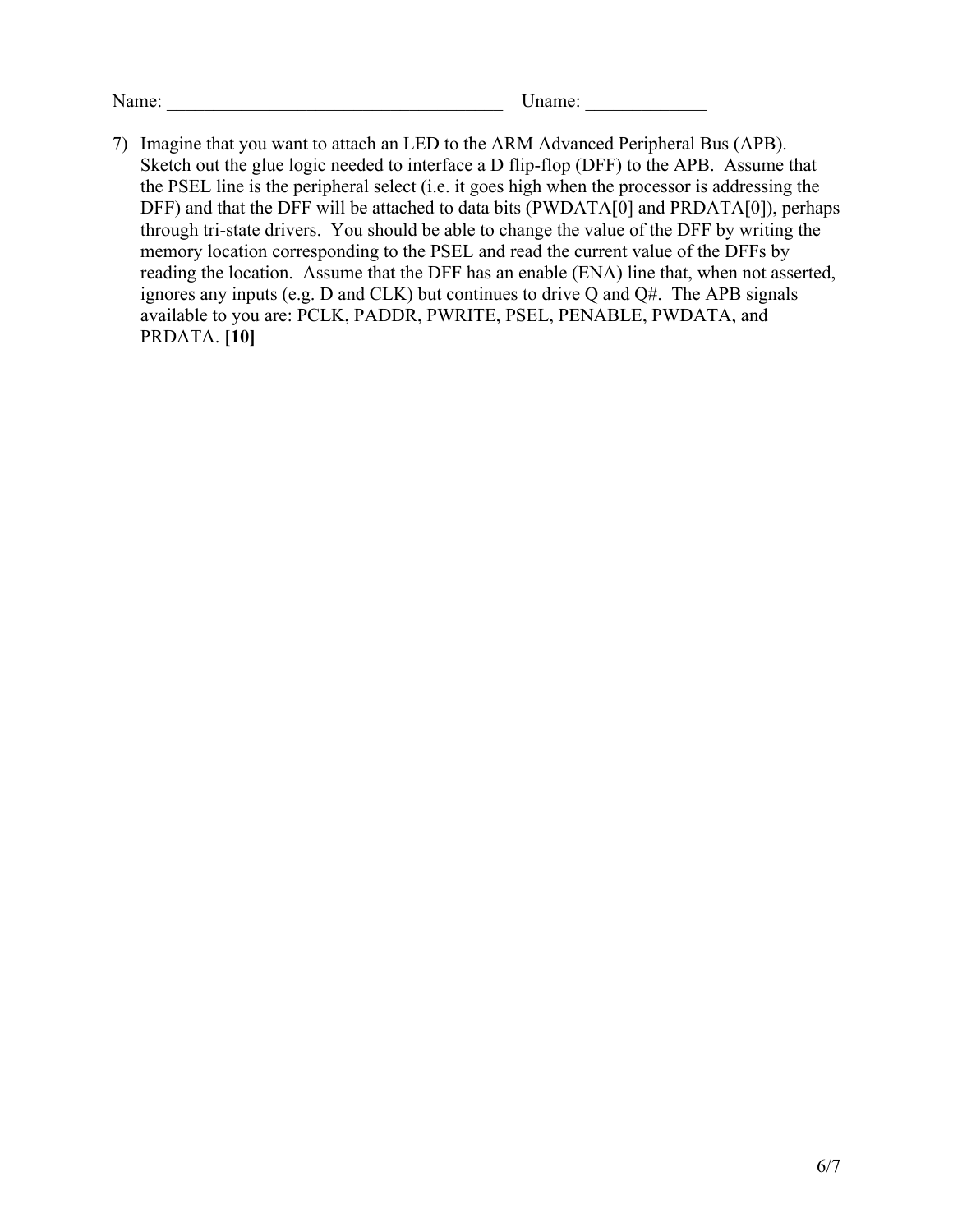Name: \_\_\_\_\_\_\_\_\_\_\_\_\_\_\_\_\_\_\_\_\_\_\_\_\_\_\_\_\_\_\_\_\_\_\_\_ Uname: \_\_\_\_\_\_\_\_\_\_\_\_\_

7) Imagine that you want to attach an LED to the ARM Advanced Peripheral Bus (APB). Sketch out the glue logic needed to interface a D flip-flop (DFF) to the APB. Assume that the PSEL line is the peripheral select (i.e. it goes high when the processor is addressing the DFF) and that the DFF will be attached to data bits (PWDATA[0] and PRDATA[0]), perhaps through tri-state drivers. You should be able to change the value of the DFF by writing the memory location corresponding to the PSEL and read the current value of the DFFs by reading the location. Assume that the DFF has an enable (ENA) line that, when not asserted, ignores any inputs (e.g. D and CLK) but continues to drive Q and Q#. The APB signals available to you are: PCLK, PADDR, PWRITE, PSEL, PENABLE, PWDATA, and PRDATA. **[10]**